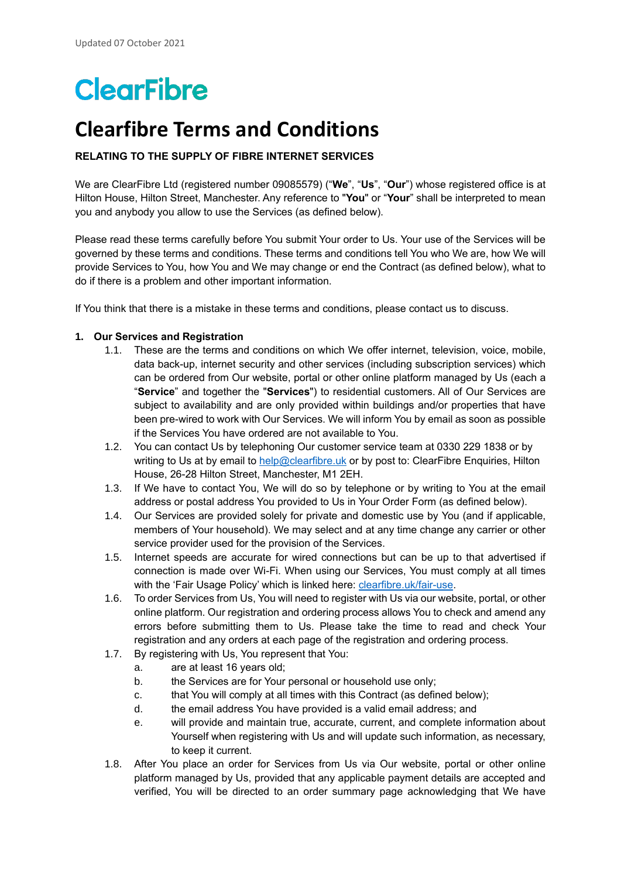# **ClearFibre**

# **Clearfibre Terms and Conditions**

# **RELATING TO THE SUPPLY OF FIBRE INTERNET SERVICES**

We are ClearFibre Ltd (registered number 09085579) ("**We**", "**Us**", "**Our**") whose registered office is at Hilton House, Hilton Street, Manchester. Any reference to "**You**" or "**Your**" shall be interpreted to mean you and anybody you allow to use the Services (as defined below).

Please read these terms carefully before You submit Your order to Us. Your use of the Services will be governed by these terms and conditions. These terms and conditions tell You who We are, how We will provide Services to You, how You and We may change or end the Contract (as defined below), what to do if there is a problem and other important information.

If You think that there is a mistake in these terms and conditions, please contact us to discuss.

#### **1. Our Services and Registration**

- 1.1. These are the terms and conditions on which We offer internet, television, voice, mobile, data back-up, internet security and other services (including subscription services) which can be ordered from Our website, portal or other online platform managed by Us [\(each a](http://my.studentcom.co.uk/registration)  "**Service**" and together the "**Services**") [to residential customers.](http://my.studentcom.co.uk/registration) All of Our Services are subject to availability and are only provided within buildings and/or properties that have been pre-wired to work with Our Services. We will inform You by email as soon as possible if the Services You have ordered are not available to You.
- 1.2. You can contact Us by telephoning Our customer service team at 0330 229 1838 or by writing to Us at by email t[o help@clearfibre.uk](mailto:help@clearfibre.uk) or by post to: ClearFibre Enquiries, Hilton House, 26-28 Hilton Street, Manchester, M1 2EH.
- 1.3. If We have to contact You, We will do so by telephone or by writing to You at the email address or postal address You provided to Us in Your Order Form (as defined below).
- 1.4. Our Services are provided solely for private and domestic use by You (and if applicable, members of Your household). We may select and at any time change any carrier or other service provider used for the provision of the Services.
- 1.5. Internet speeds are accurate for wired connections but can be up to that advertised if connection is made over Wi-Fi. When using our Services, You must comply at all times with the 'Fair Usage Policy' which is linked here: [clearfibre.uk/fair-use.](http://www.clearfibre.uk/fair-use)
- 1.6. To order Services from Us, You will need to register with Us via our website, portal, or other online platform. Our registration and ordering process allows You to check and amend any errors before submitting them to Us. Please take the time to read and check Your registration and any orders at each page of the registration and ordering process.
- 1.7. By registering with Us, You represent that You:
	- a. are at least 16 years old;
	- b. the Services are for Your personal or household use only;
	- c. that You will comply at all times with this Contract (as defined below);
	- d. the email address You have provided is a valid email address; and
	- e. will provide and maintain true, accurate, current, and complete information about Yourself when registering with Us and will update such information, as necessary, to keep it current.
- 1.8. After You place an order for Services from Us via Our website, portal or other online platform managed by Us, provided that any applicable payment details are accepted and verified, You will be directed to an order summary page acknowledging that We have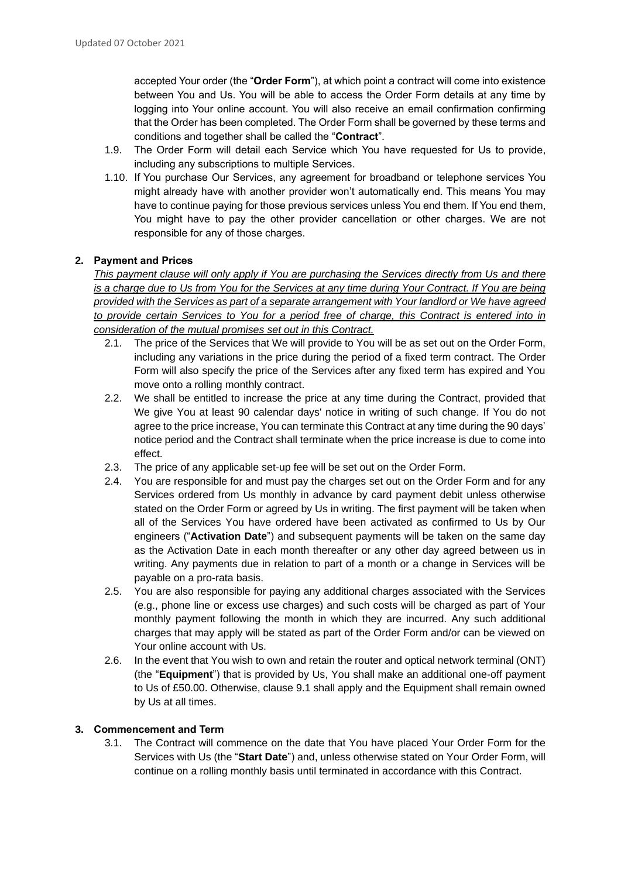accepted Your order (the "**Order Form**"), at which point a contract will come into existence between You and Us. You will be able to access the Order Form details at any time by logging into Your online account. You will also receive an email confirmation confirming that the Order has been completed. The Order Form shall be governed by these terms and conditions and together shall be called the "**Contract**".

- 1.9. The Order Form will detail each Service which You have requested for Us to provide, including any subscriptions to multiple Services.
- 1.10. If You purchase Our Services, any agreement for broadband or telephone services You might already have with another provider won't automatically end. This means You may have to continue paying for those previous services unless You end them. If You end them, You might have to pay the other provider cancellation or other charges. We are not responsible for any of those charges.

# **2. Payment and Prices**

*This payment clause will only apply if You are purchasing the Services directly from Us and there is a charge due to Us from You for the Services at any time during Your Contract. If You are being provided with the Services as part of a separate arrangement with Your landlord or We have agreed to provide certain Services to You for a period free of charge, this Contract is entered into in consideration of the mutual promises set out in this Contract.*

- 2.1. The price of the Services that We will provide to You will be as set out on the Order Form, including any variations in the price during the period of a fixed term contract. The Order Form will also specify the price of the Services after any fixed term has expired and You move onto a rolling monthly contract.
- 2.2. We shall be entitled to increase the price at any time during the Contract, provided that We give You at least 90 calendar days' notice in writing of such change. If You do not agree to the price increase, You can terminate this Contract at any time during the 90 days' notice period and the Contract shall terminate when the price increase is due to come into effect.
- 2.3. The price of any applicable set-up fee will be set out on the Order Form.
- 2.4. You are responsible for and must pay the charges set out on the Order Form and for any Services ordered from Us monthly in advance by card payment debit unless otherwise stated on the Order Form or agreed by Us in writing. The first payment will be taken when all of the Services You have ordered have been activated as confirmed to Us by Our engineers ("**Activation Date**") and subsequent payments will be taken on the same day as the Activation Date in each month thereafter or any other day agreed between us in writing. Any payments due in relation to part of a month or a change in Services will be payable on a pro-rata basis.
- 2.5. You are also responsible for paying any additional charges associated with the Services (e.g., phone line or excess use charges) and such costs will be charged as part of Your monthly payment following the month in which they are incurred. Any such additional charges that may apply will be stated as part of the Order Form and/or can be viewed on Your online account with Us.
- 2.6. In the event that You wish to own and retain the router and optical network terminal (ONT) (the "**Equipment**") that is provided by Us, You shall make an additional one-off payment to Us of £50.00. Otherwise, clause 9.1 shall apply and the Equipment shall remain owned by Us at all times.

#### **3. Commencement and Term**

3.1. The Contract will commence on the date that You have placed Your Order Form for the Services with Us (the "**Start Date**") and, unless otherwise stated on Your Order Form, will continue on a rolling monthly basis until terminated in accordance with this Contract.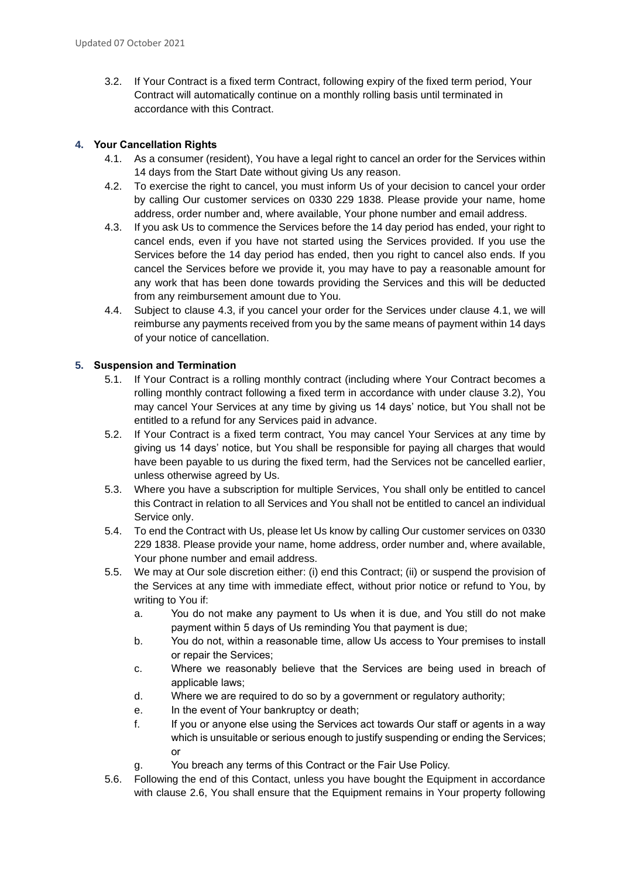3.2. If Your Contract is a fixed term Contract, following expiry of the fixed term period, Your Contract will automatically continue on a monthly rolling basis until terminated in accordance with this Contract.

# **4. Your Cancellation Rights**

- 4.1. As a consumer (resident), You have a legal right to cancel an order for the Services within 14 days from the Start Date without giving Us any reason.
- 4.2. To exercise the right to cancel, you must inform Us of your decision to cancel your order by calling Our customer services on 0330 229 1838. Please provide your name, home address, order number and, where available, Your phone number and email address.
- 4.3. If you ask Us to commence the Services before the 14 day period has ended, your right to cancel ends, even if you have not started using the Services provided. If you use the Services before the 14 day period has ended, then you right to cancel also ends. If you cancel the Services before we provide it, you may have to pay a reasonable amount for any work that has been done towards providing the Services and this will be deducted from any reimbursement amount due to You.
- 4.4. Subject to clause 4.3, if you cancel your order for the Services under clause 4.1, we will reimburse any payments received from you by the same means of payment within 14 days of your notice of cancellation.

# **5. Suspension and Termination**

- 5.1. If Your Contract is a rolling monthly contract (including where Your Contract becomes a rolling monthly contract following a fixed term in accordance with under clause 3.2), You may cancel Your Services at any time by giving us 14 days' notice, but You shall not be entitled to a refund for any Services paid in advance.
- 5.2. If Your Contract is a fixed term contract, You may cancel Your Services at any time by giving us 14 days' notice, but You shall be responsible for paying all charges that would have been payable to us during the fixed term, had the Services not be cancelled earlier, unless otherwise agreed by Us.
- 5.3. Where you have a subscription for multiple Services, You shall only be entitled to cancel this Contract in relation to all Services and You shall not be entitled to cancel an individual Service only.
- 5.4. To end the Contract with Us, please let Us know by calling Our customer services on 0330 229 1838. Please provide your name, home address, order number and, where available, Your phone number and email address.
- 5.5. We may at Our sole discretion either: (i) end this Contract; (ii) or suspend the provision of the Services at any time with immediate effect, without prior notice or refund to You, by writing to You if:
	- a. You do not make any payment to Us when it is due, and You still do not make payment within 5 days of Us reminding You that payment is due;
	- b. You do not, within a reasonable time, allow Us access to Your premises to install or repair the Services;
	- c. Where we reasonably believe that the Services are being used in breach of applicable laws;
	- d. Where we are required to do so by a government or regulatory authority;
	- e. In the event of Your bankruptcy or death;
	- f. If you or anyone else using the Services act towards Our staff or agents in a way which is unsuitable or serious enough to justify suspending or ending the Services; or
	- g. You breach any terms of this Contract or the Fair Use Policy.
- 5.6. Following the end of this Contact, unless you have bought the Equipment in accordance with clause 2.6, You shall ensure that the Equipment remains in Your property following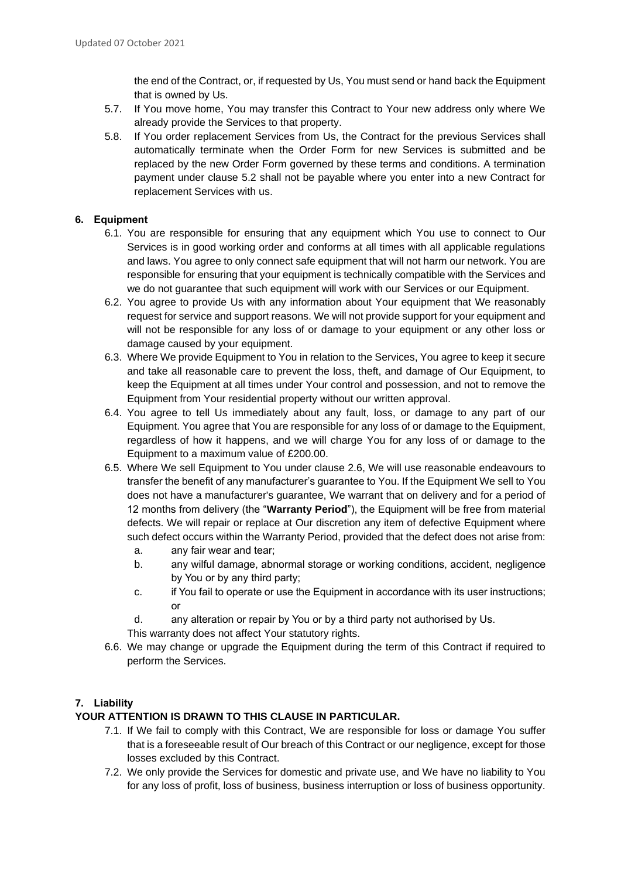the end of the Contract, or, if requested by Us, You must send or hand back the Equipment that is owned by Us.

- 5.7. If You move home, You may transfer this Contract to Your new address only where We already provide the Services to that property.
- 5.8. If You order replacement Services from Us, the Contract for the previous Services shall automatically terminate when the Order Form for new Services is submitted and be replaced by the new Order Form governed by these terms and conditions. A termination payment under clause 5.2 shall not be payable where you enter into a new Contract for replacement Services with us.

#### **6. Equipment**

- 6.1. You are responsible for ensuring that any equipment which You use to connect to Our Services is in good working order and conforms at all times with all applicable regulations and laws. You agree to only connect safe equipment that will not harm our network. You are responsible for ensuring that your equipment is technically compatible with the Services and we do not guarantee that such equipment will work with our Services or our Equipment.
- 6.2. You agree to provide Us with any information about Your equipment that We reasonably request for service and support reasons. We will not provide support for your equipment and will not be responsible for any loss of or damage to your equipment or any other loss or damage caused by your equipment.
- 6.3. Where We provide Equipment to You in relation to the Services, You agree to keep it secure and take all reasonable care to prevent the loss, theft, and damage of Our Equipment, to keep the Equipment at all times under Your control and possession, and not to remove the Equipment from Your residential property without our written approval.
- 6.4. You agree to tell Us immediately about any fault, loss, or damage to any part of our Equipment. You agree that You are responsible for any loss of or damage to the Equipment, regardless of how it happens, and we will charge You for any loss of or damage to the Equipment to a maximum value of £200.00.
- 6.5. Where We sell Equipment to You under clause 2.6, We will use reasonable endeavours to transfer the benefit of any manufacturer's guarantee to You. If the Equipment We sell to You does not have a manufacturer's guarantee, We warrant that on delivery and for a period of 12 months from delivery (the "**Warranty Period**"), the Equipment will be free from material defects. We will repair or replace at Our discretion any item of defective Equipment where such defect occurs within the Warranty Period, provided that the defect does not arise from:
	- a. any fair wear and tear;
	- b. any wilful damage, abnormal storage or working conditions, accident, negligence by You or by any third party;
	- c. if You fail to operate or use the Equipment in accordance with its user instructions; or
	- d. any alteration or repair by You or by a third party not authorised by Us.
	- This warranty does not affect Your statutory rights.
- 6.6. We may change or upgrade the Equipment during the term of this Contract if required to perform the Services.

# **7. Liability**

# **YOUR ATTENTION IS DRAWN TO THIS CLAUSE IN PARTICULAR.**

- 7.1. If We fail to comply with this Contract, We are responsible for loss or damage You suffer that is a foreseeable result of Our breach of this Contract or our negligence, except for those losses excluded by this Contract.
- 7.2. We only provide the Services for domestic and private use, and We have no liability to You for any loss of profit, loss of business, business interruption or loss of business opportunity.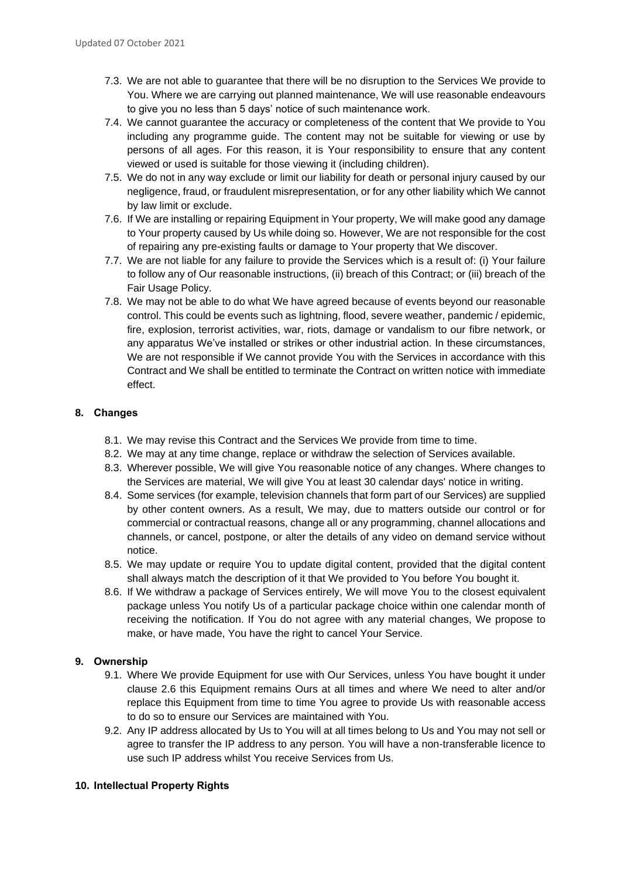- 7.3. We are not able to guarantee that there will be no disruption to the Services We provide to You. Where we are carrying out planned maintenance, We will use reasonable endeavours to give you no less than 5 days' notice of such maintenance work.
- 7.4. We cannot guarantee the accuracy or completeness of the content that We provide to You including any programme guide. The content may not be suitable for viewing or use by persons of all ages. For this reason, it is Your responsibility to ensure that any content viewed or used is suitable for those viewing it (including children).
- 7.5. We do not in any way exclude or limit our liability for death or personal injury caused by our negligence, fraud, or fraudulent misrepresentation, or for any other liability which We cannot by law limit or exclude.
- 7.6. If We are installing or repairing Equipment in Your property, We will make good any damage to Your property caused by Us while doing so. However, We are not responsible for the cost of repairing any pre-existing faults or damage to Your property that We discover.
- 7.7. We are not liable for any failure to provide the Services which is a result of: (i) Your failure to follow any of Our reasonable instructions, (ii) breach of this Contract; or (iii) breach of the Fair Usage Policy.
- 7.8. We may not be able to do what We have agreed because of events beyond our reasonable control. This could be events such as lightning, flood, severe weather, pandemic / epidemic, fire, explosion, terrorist activities, war, riots, damage or vandalism to our fibre network, or any apparatus We've installed or strikes or other industrial action. In these circumstances, We are not responsible if We cannot provide You with the Services in accordance with this Contract and We shall be entitled to terminate the Contract on written notice with immediate effect.

# **8. Changes**

- 8.1. We may revise this Contract and the Services We provide from time to time.
- 8.2. We may at any time change, replace or withdraw the selection of Services available.
- 8.3. Wherever possible, We will give You reasonable notice of any changes. Where changes to the Services are material, We will give You at least 30 calendar days' notice in writing.
- 8.4. Some services (for example, television channels that form part of our Services) are supplied by other content owners. As a result, We may, due to matters outside our control or for commercial or contractual reasons, change all or any programming, channel allocations and channels, or cancel, postpone, or alter the details of any video on demand service without notice.
- 8.5. We may update or require You to update digital content, provided that the digital content shall always match the description of it that We provided to You before You bought it.
- 8.6. If We withdraw a package of Services entirely, We will move You to the closest equivalent package unless You notify Us of a particular package choice within one calendar month of receiving the notification. If You do not agree with any material changes, We propose to make, or have made, You have the right to cancel Your Service.

# **9. Ownership**

- 9.1. Where We provide Equipment for use with Our Services, unless You have bought it under clause 2.6 this Equipment remains Ours at all times and where We need to alter and/or replace this Equipment from time to time You agree to provide Us with reasonable access to do so to ensure our Services are maintained with You.
- 9.2. Any IP address allocated by Us to You will at all times belong to Us and You may not sell or agree to transfer the IP address to any person. You will have a non-transferable licence to use such IP address whilst You receive Services from Us.

# **10. Intellectual Property Rights**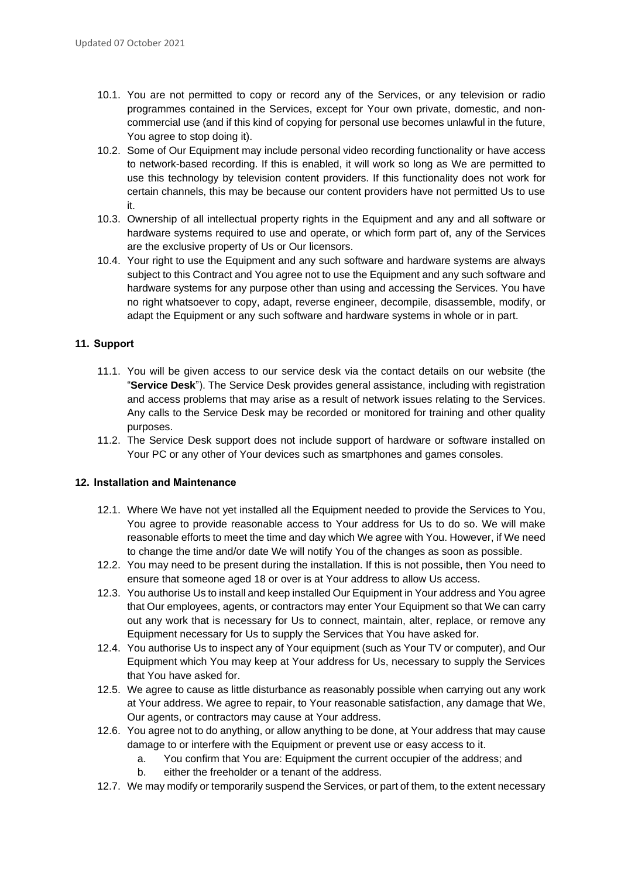- 10.1. You are not permitted to copy or record any of the Services, or any television or radio programmes contained in the Services, except for Your own private, domestic, and noncommercial use (and if this kind of copying for personal use becomes unlawful in the future, You agree to stop doing it).
- 10.2. Some of Our Equipment may include personal video recording functionality or have access to network-based recording. If this is enabled, it will work so long as We are permitted to use this technology by television content providers. If this functionality does not work for certain channels, this may be because our content providers have not permitted Us to use it.
- 10.3. Ownership of all intellectual property rights in the Equipment and any and all software or hardware systems required to use and operate, or which form part of, any of the Services are the exclusive property of Us or Our licensors.
- 10.4. Your right to use the Equipment and any such software and hardware systems are always subject to this Contract and You agree not to use the Equipment and any such software and hardware systems for any purpose other than using and accessing the Services. You have no right whatsoever to copy, adapt, reverse engineer, decompile, disassemble, modify, or adapt the Equipment or any such software and hardware systems in whole or in part.

# **11. Support**

- 11.1. You will be given access to our service desk via the contact details on our website (the "**Service Desk**"). The Service Desk provides general assistance, including with registration and access problems that may arise as a result of network issues relating to the Services. Any calls to the Service Desk may be recorded or monitored for training and other quality purposes.
- 11.2. The Service Desk support does not include support of hardware or software installed on Your PC or any other of Your devices such as smartphones and games consoles.

#### **12. Installation and Maintenance**

- 12.1. Where We have not yet installed all the Equipment needed to provide the Services to You, You agree to provide reasonable access to Your address for Us to do so. We will make reasonable efforts to meet the time and day which We agree with You. However, if We need to change the time and/or date We will notify You of the changes as soon as possible.
- 12.2. You may need to be present during the installation. If this is not possible, then You need to ensure that someone aged 18 or over is at Your address to allow Us access.
- 12.3. You authorise Us to install and keep installed Our Equipment in Your address and You agree that Our employees, agents, or contractors may enter Your Equipment so that We can carry out any work that is necessary for Us to connect, maintain, alter, replace, or remove any Equipment necessary for Us to supply the Services that You have asked for.
- 12.4. You authorise Us to inspect any of Your equipment (such as Your TV or computer), and Our Equipment which You may keep at Your address for Us, necessary to supply the Services that You have asked for.
- 12.5. We agree to cause as little disturbance as reasonably possible when carrying out any work at Your address. We agree to repair, to Your reasonable satisfaction, any damage that We, Our agents, or contractors may cause at Your address.
- 12.6. You agree not to do anything, or allow anything to be done, at Your address that may cause damage to or interfere with the Equipment or prevent use or easy access to it.
	- a. You confirm that You are: Equipment the current occupier of the address; and
	- b. either the freeholder or a tenant of the address.
- 12.7. We may modify or temporarily suspend the Services, or part of them, to the extent necessary